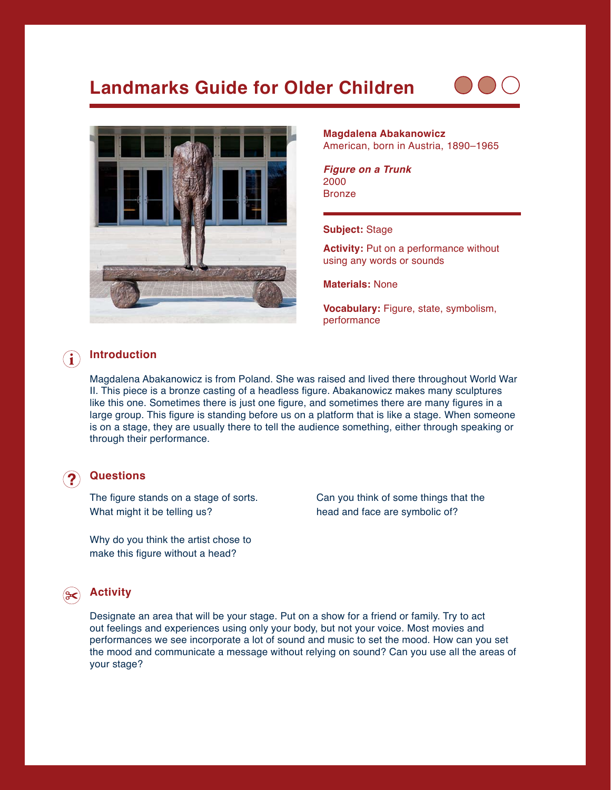# **Landmarks Guide for Older Children**





#### **Magdalena Abakanowicz** American, born in Austria, 1890–1965

*Figure on a Trunk* 2000 Bronze

#### **Subject:** Stage

**Activity:** Put on a performance without using any words or sounds

**Materials:** None

**Vocabulary:** Figure, state, symbolism, performance

### **Introduction**

Magdalena Abakanowicz is from Poland. She was raised and lived there throughout World War II. This piece is a bronze casting of a headless figure. Abakanowicz makes many sculptures like this one. Sometimes there is just one figure, and sometimes there are many figures in a large group. This figure is standing before us on a platform that is like a stage. When someone is on a stage, they are usually there to tell the audience something, either through speaking or through their performance.

#### **Questions**

The figure stands on a stage of sorts. What might it be telling us?

Why do you think the artist chose to make this figure without a head?

Can you think of some things that the head and face are symbolic of?

### **Activity**

Designate an area that will be your stage. Put on a show for a friend or family. Try to act out feelings and experiences using only your body, but not your voice. Most movies and performances we see incorporate a lot of sound and music to set the mood. How can you set the mood and communicate a message without relying on sound? Can you use all the areas of your stage?